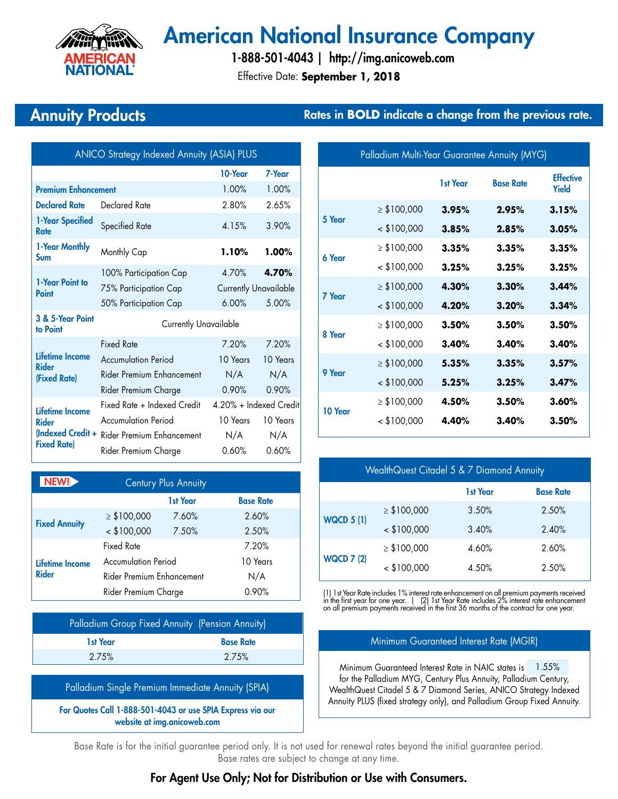

# American National Insurance Company

Effective Date: **September 1, 2018** 1-888-501-4043 | http://img.anicoweb.com

## Annuity Products **Rates in BOLD** indicate a change from the previous rate.

| <b>ANICO Strategy Indexed Annuity (ASIA) PLUS</b>                         |                                                       |                        |          |
|---------------------------------------------------------------------------|-------------------------------------------------------|------------------------|----------|
|                                                                           |                                                       | 10-Year                | 7-Year   |
| <b>Premium Enhancement</b>                                                |                                                       | 1.00%                  | 1.00%    |
| <b>Declared Rate</b>                                                      | Declared Rate                                         | 2.80%                  | 2.65%    |
| 1-Year Specified<br><b>Rate</b>                                           | Specified Rate                                        | 4.15%                  | 3.90%    |
| 1-Year Monthly<br>Sum                                                     | Monthly Cap                                           | 1.10%                  | $1.00\%$ |
|                                                                           | 100% Participation Cap                                | 4.70%                  | 4.70%    |
| 1-Year Point to<br>Point                                                  | <b>Currently Unavailable</b><br>75% Participation Cap |                        |          |
|                                                                           | 50% Participation Cap                                 | 6.00%                  | 5.00%    |
| 3 & 5-Year Point<br>to Point                                              | <b>Currently Unavailable</b>                          |                        |          |
|                                                                           | <b>Fixed Rate</b>                                     | 7.20%                  | 7.20%    |
| <b>Lifetime Income</b><br>Rider                                           | <b>Accumulation Period</b>                            | 10 Years               | 10 Years |
| (Fixed Rate)                                                              | <b>Rider Premium Enhancement</b>                      | N/A                    | N/A      |
|                                                                           | Rider Premium Charge                                  | 0.90%                  | 0.90%    |
| Lifetime Income<br>Rider<br><b>Indexed Credit +</b><br><b>Fixed Rate)</b> | Fixed Rate + Indexed Credit                           | 4.20% + Indexed Credit |          |
|                                                                           | Accumulation Period                                   | 10 Years               | 10 Years |
|                                                                           | Rider Premium Enhancement                             | N/A                    | N/A      |
|                                                                           | Rider Premium Charge                                  | 0.60%                  | 0.60%    |

| NEW!                            | <b>Century Plus Annuity</b> |          |                  |
|---------------------------------|-----------------------------|----------|------------------|
|                                 |                             | 1st Year | <b>Base Rate</b> |
| <b>Fixed Annuity</b>            | $\geq$ \$100,000            | 7.60%    | 2.60%            |
|                                 | $<$ \$100,000               | 7.50%    | 2.50%            |
| Lifetime Income<br><b>Rider</b> | <b>Fixed Rate</b>           |          | 7.20%            |
|                                 | <b>Accumulation Period</b>  |          | 10 Years         |
|                                 | Rider Premium Enhancement   |          | N/A              |
|                                 | Rider Premium Charge        |          | 0.90%            |

| Palladium Group Fixed Annuity (Pension Annuity) |                  |
|-------------------------------------------------|------------------|
| 1st Year                                        | <b>Base Rate</b> |
| 2.75%                                           | 2.75%            |

Palladium Single Premium Immediate Annuity (SPIA)

For Quotes Call 1-888-501-4043 or use SPIA Express via our website at img.anicoweb.com

| Palladium Multi-Year Guarantee Annuity (MYG) |                  |          |                  |                                  |
|----------------------------------------------|------------------|----------|------------------|----------------------------------|
|                                              |                  | 1st Year | <b>Base Rate</b> | <b>Effective</b><br><b>Yield</b> |
| 5 Year                                       | $\geq$ \$100,000 | 3.95%    | 2.95%            | 3.15%                            |
|                                              | $<$ \$100,000    | 3.85%    | 2.85%            | 3.05%                            |
| 6 Year                                       | $\geq$ \$100,000 | 3.35%    | 3.35%            | 3.35%                            |
|                                              | $<$ \$100,000    | 3.25%    | 3.25%            | 3.25%                            |
| 7 Year                                       | $\geq$ \$100,000 | 4.30%    | 3.30%            | 3.44%                            |
|                                              | $<$ \$100,000    | 4.20%    | 3.20%            | 3.34%                            |
| 8 Year                                       | $\geq$ \$100,000 | 3.50%    | 3.50%            | 3.50%                            |
|                                              | $<$ \$100,000    | 3.40%    | 3.40%            | 3.40%                            |
| 9 Year                                       | $\geq$ \$100,000 | 5.35%    | 3.35%            | 3.57%                            |
|                                              | $<$ \$100,000    | 5.25%    | 3.25%            | 3.47%                            |
| 10 Year                                      | $\geq$ \$100,000 | 4.50%    | 3.50%            | 3.60%                            |
|                                              | $<$ \$100,000    | 4.40%    | 3.40%            | 3.50%                            |
|                                              |                  |          |                  |                                  |

| WealthQuest Citadel 5 & 7 Diamond Annuity |                  |          |                  |
|-------------------------------------------|------------------|----------|------------------|
|                                           |                  | 1st Year | <b>Base Rate</b> |
| <b>WQCD 5 (1)</b>                         | $\geq$ \$100,000 | 3.50%    | 2.50%            |
|                                           | $<$ \$100,000    | 3.40%    | 2.40%            |
| <b>WQCD 7 (2)</b>                         | $\geq$ \$100,000 | 4.60%    | 2.60%            |
|                                           | $<$ \$100,000    | 4.50%    | 2.50%            |

(1) 1st Year Rate includes 1% interest rate enhancement on all premium payments received<br>in the first year for one year. | (2) 1st Year Rate includes 2% interest rate enhancement<br>on all premium payments received in the fir

#### Minimum Guaranteed Interest Rate (MGIR)

Minimum Guaranteed Interest Rate in NAIC states is 1.55% for the Palladium MYG, Century Plus Annuity, Palladium Century, WealthQuest Citadel 5 & 7 Diamond Series, ANICO Strategy Indexed Annuity PLUS (fixed strategy only), and Palladium Group Fixed Annuity.

Base Rate is for the initial guarantee period only. It is not used for renewal rates beyond the initial guarantee period. Base rates are subject to change at any time.

### For Agent Use Only; Not for Distribution or Use with Consumers.